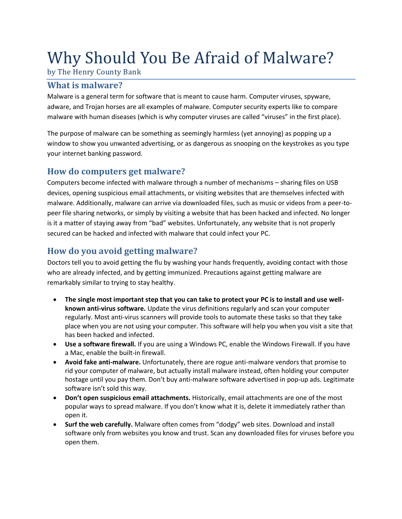# Why Should You Be Afraid of Malware?

by The Henry County Bank

### **What is malware?**

Malware is a general term for software that is meant to cause harm. Computer viruses, spyware, adware, and Trojan horses are all examples of malware. Computer security experts like to compare malware with human diseases (which is why computer viruses are called "viruses" in the first place).

The purpose of malware can be something as seemingly harmless (yet annoying) as popping up a window to show you unwanted advertising, or as dangerous as snooping on the keystrokes as you type your internet banking password.

#### **How do computers get malware?**

Computers become infected with malware through a number of mechanisms – sharing files on USB devices, opening suspicious email attachments, or visiting websites that are themselves infected with malware. Additionally, malware can arrive via downloaded files, such as music or videos from a peer-topeer file sharing networks, or simply by visiting a website that has been hacked and infected. No longer is it a matter of staying away from "bad" websites. Unfortunately, any website that is not properly secured can be hacked and infected with malware that could infect your PC.

### **How do you avoid getting malware?**

Doctors tell you to avoid getting the flu by washing your hands frequently, avoiding contact with those who are already infected, and by getting immunized. Precautions against getting malware are remarkably similar to trying to stay healthy.

- **The single most important step that you can take to protect your PC is to install and use wellknown anti-virus software.** Update the virus definitions regularly and scan your computer regularly. Most anti-virus scanners will provide tools to automate these tasks so that they take place when you are not using your computer. This software will help you when you visit a site that has been hacked and infected.
- **Use a software firewall.** If you are using a Windows PC, enable the Windows Firewall. If you have a Mac, enable the built-in firewall.
- **Avoid fake anti-malware.** Unfortunately, there are rogue anti-malware vendors that promise to rid your computer of malware, but actually install malware instead, often holding your computer hostage until you pay them. Don't buy anti-malware software advertised in pop-up ads. Legitimate software isn't sold this way.
- **Don't open suspicious email attachments.** Historically, email attachments are one of the most popular ways to spread malware. If you don't know what it is, delete it immediately rather than open it.
- **Surf the web carefully.** Malware often comes from "dodgy" web sites. Download and install software only from websites you know and trust. Scan any downloaded files for viruses before you open them.